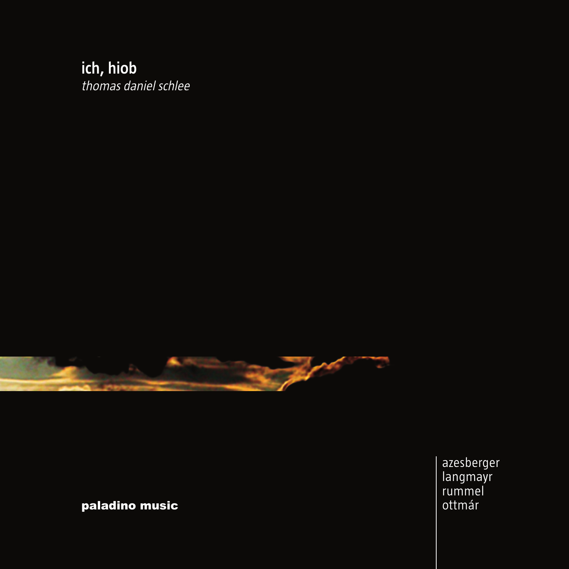# ich, hiob thomas daniel schlee



azesberger<br>langmayr rummel ottmár

paladino music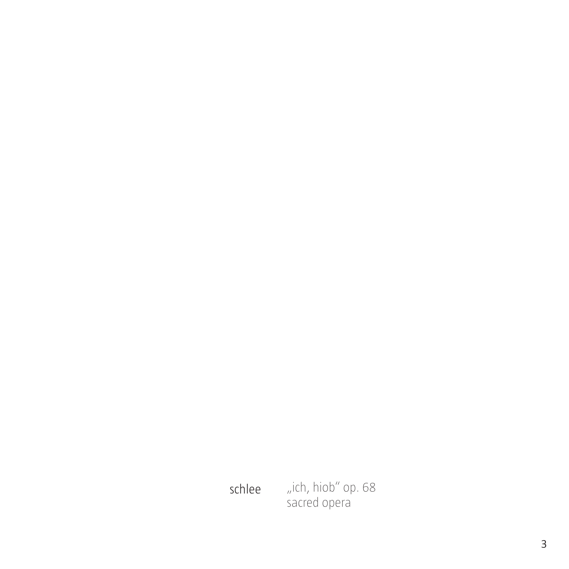schlee "ich, hiob" op. 68<br>sacred opera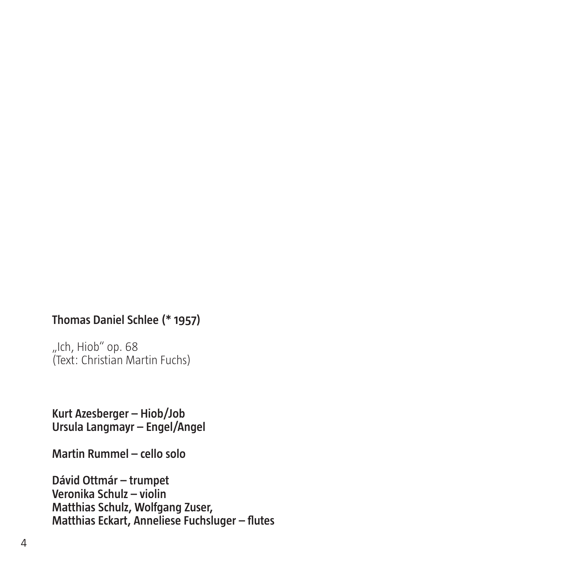# **Thomas Daniel Schlee (\* 1957)**

"Ich, Hiob" op. 68 (Text: Christian Martin Fuchs)

**Kurt Azesberger – Hiob/Job Ursula Langmayr – Engel/Angel**

**Martin Rummel – cello solo**

**Dávid Ottmár – trumpet Veronika Schulz – violin Matthias Schulz, Wolfgang Zuser, Matthias Eckart, Anneliese Fuchsluger – flutes**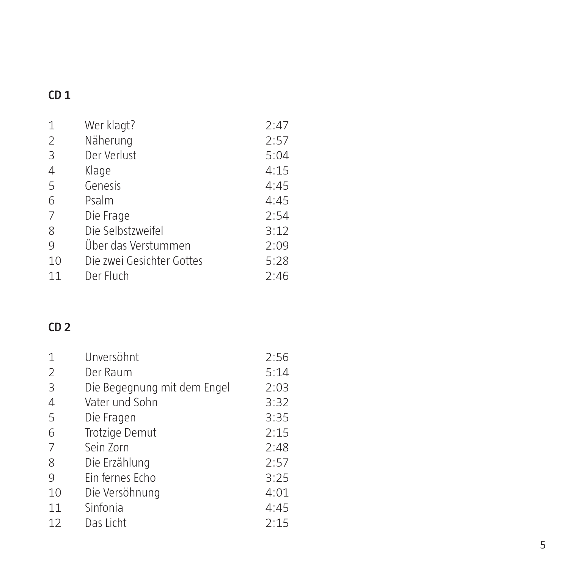# **CD 1**

| $\mathbf 1$    | Wer klagt?                | 2:47 |
|----------------|---------------------------|------|
| $\overline{2}$ | Näherung                  | 2:57 |
| 3              | Der Verlust               | 5:04 |
| $\overline{4}$ | Klage                     | 4:15 |
| 5              | Genesis                   | 4:45 |
| 6              | Psalm                     | 4:45 |
| 7              | Die Frage                 | 2:54 |
| 8              | Die Selbstzweifel         | 3:12 |
| 9              | Über das Verstummen       | 2:09 |
| 10             | Die zwei Gesichter Gottes | 5:28 |
| 11             | Der Fluch                 | 2:46 |

# **CD 2**

| Unversöhnt                  | 2:56 |
|-----------------------------|------|
| Der Raum                    | 5:14 |
| Die Begegnung mit dem Engel | 2:03 |
| Vater und Sohn              | 3:32 |
| Die Fragen                  | 3:35 |
| Trotzige Demut              | 2:15 |
| Sein Zorn                   | 2:48 |
| Die Erzählung               | 2:57 |
| Ein fernes Echo             | 3:25 |
| Die Versöhnung              | 4:01 |
| Sinfonia                    | 4:45 |
| Das Licht                   | 2:15 |
|                             |      |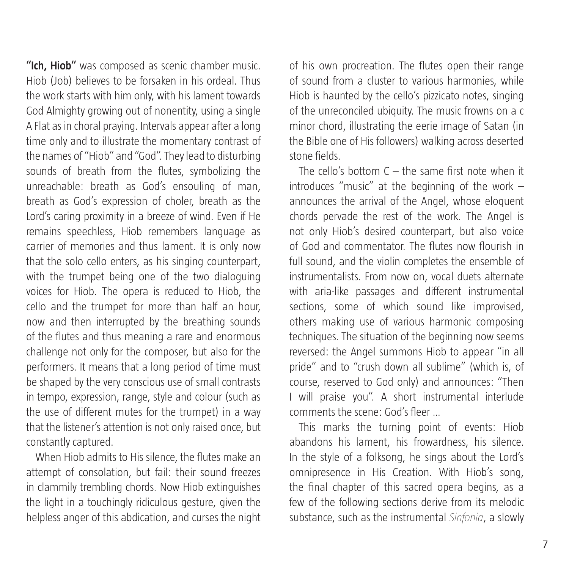**"Ich, Hiob"** was composed as scenic chamber music. Hiob (Job) believes to be forsaken in his ordeal. Thus the work starts with him only, with his lament towards God Almighty growing out of nonentity, using a single A Flat as in choral praying. Intervals appear after a long time only and to illustrate the momentary contrast of the names of "Hiob" and "God". They lead to disturbing sounds of breath from the flutes, symbolizing the unreachable: breath as God's ensouling of man, breath as God's expression of choler, breath as the Lord's caring proximity in a breeze of wind. Even if He remains speechless, Hiob remembers language as carrier of memories and thus lament. It is only now that the solo cello enters, as his singing counterpart, with the trumpet being one of the two dialoguing voices for Hiob. The opera is reduced to Hiob, the cello and the trumpet for more than half an hour, now and then interrupted by the breathing sounds of the flutes and thus meaning a rare and enormous challenge not only for the composer, but also for the performers. It means that a long period of time must be shaped by the very conscious use of small contrasts in tempo, expression, range, style and colour (such as the use of different mutes for the trumpet) in a way that the listener's attention is not only raised once, but constantly captured.

When Hiob admits to His silence, the flutes make an attempt of consolation, but fail: their sound freezes in clammily trembling chords. Now Hiob extinguishes the light in a touchingly ridiculous gesture, given the helpless anger of this abdication, and curses the night of his own procreation. The flutes open their range of sound from a cluster to various harmonies, while Hiob is haunted by the cello's pizzicato notes, singing of the unreconciled ubiquity. The music frowns on a c minor chord, illustrating the eerie image of Satan (in the Bible one of His followers) walking across deserted stone fields.

The cello's bottom  $C -$  the same first note when it introduces "music" at the beginning of the work – announces the arrival of the Angel, whose eloquent chords pervade the rest of the work. The Angel is not only Hiob's desired counterpart, but also voice of God and commentator. The flutes now flourish in full sound, and the violin completes the ensemble of instrumentalists. From now on, vocal duets alternate with aria-like passages and different instrumental sections, some of which sound like improvised, others making use of various harmonic composing techniques. The situation of the beginning now seems reversed: the Angel summons Hiob to appear "in all pride" and to "crush down all sublime" (which is, of course, reserved to God only) and announces: "Then I will praise you". A short instrumental interlude comments the scene: God's fleer …

This marks the turning point of events: Hiob abandons his lament, his frowardness, his silence. In the style of a folksong, he sings about the Lord's omnipresence in His Creation. With Hiob's song, the final chapter of this sacred opera begins, as a few of the following sections derive from its melodic substance, such as the instrumental *Sinfonia*, a slowly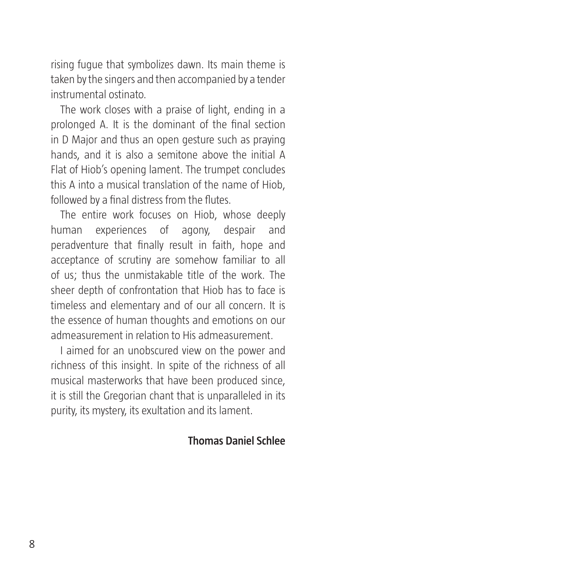rising fugue that symbolizes dawn. Its main theme is taken by the singers and then accompanied by a tender instrumental ostinato.

The work closes with a praise of light, ending in a prolonged A. It is the dominant of the final section in D Major and thus an open gesture such as praying hands, and it is also a semitone above the initial A Flat of Hiob's opening lament. The trumpet concludes this A into a musical translation of the name of Hiob, followed by a final distress from the flutes.

The entire work focuses on Hiob, whose deeply human experiences of agony, despair and peradventure that finally result in faith, hope and acceptance of scrutiny are somehow familiar to all of us; thus the unmistakable title of the work. The sheer depth of confrontation that Hiob has to face is timeless and elementary and of our all concern. It is the essence of human thoughts and emotions on our admeasurement in relation to His admeasurement.

I aimed for an unobscured view on the power and richness of this insight. In spite of the richness of all musical masterworks that have been produced since, it is still the Gregorian chant that is unparalleled in its purity, its mystery, its exultation and its lament.

#### **Thomas Daniel Schlee**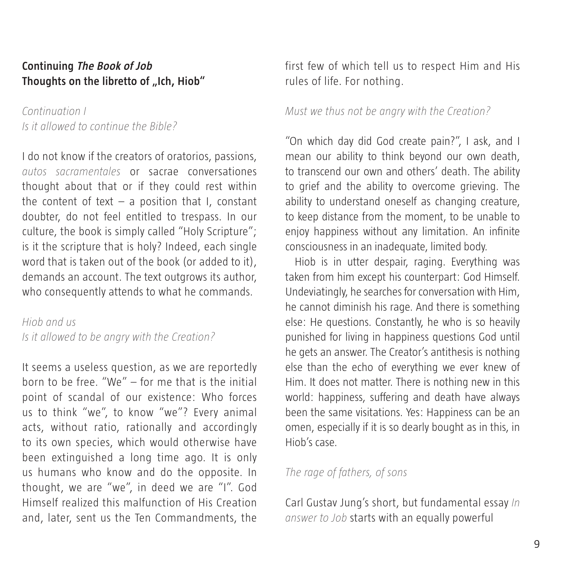# **Continuing The Book of Job** Thoughts on the libretto of .. Ich, Hiob"

*Continuation I Is it allowed to continue the Bible?*

I do not know if the creators of oratorios, passions, *autos sacramentales* or sacrae conversationes thought about that or if they could rest within the content of text – a position that I, constant doubter, do not feel entitled to trespass. In our culture, the book is simply called "Holy Scripture"; is it the scripture that is holy? Indeed, each single word that is taken out of the book (or added to it), demands an account. The text outgrows its author, who consequently attends to what he commands.

# *Hiob and us Is it allowed to be angry with the Creation?*

It seems a useless question, as we are reportedly born to be free. "We" – for me that is the initial point of scandal of our existence: Who forces us to think "we", to know "we"? Every animal acts, without ratio, rationally and accordingly to its own species, which would otherwise have been extinguished a long time ago. It is only us humans who know and do the opposite. In thought, we are "we", in deed we are "I". God Himself realized this malfunction of His Creation and, later, sent us the Ten Commandments, the first few of which tell us to respect Him and His rules of life. For nothing.

## *Must we thus not be angry with the Creation?*

"On which day did God create pain?", I ask, and I mean our ability to think beyond our own death, to transcend our own and others' death. The ability to grief and the ability to overcome grieving. The ability to understand oneself as changing creature, to keep distance from the moment, to be unable to enjoy happiness without any limitation. An infinite consciousness in an inadequate, limited body.

Hiob is in utter despair, raging. Everything was taken from him except his counterpart: God Himself. Undeviatingly, he searches for conversation with Him, he cannot diminish his rage. And there is something else: He questions. Constantly, he who is so heavily punished for living in happiness questions God until he gets an answer. The Creator's antithesis is nothing else than the echo of everything we ever knew of Him. It does not matter. There is nothing new in this world: happiness, suffering and death have always been the same visitations. Yes: Happiness can be an omen, especially if it is so dearly bought as in this, in Hiob's case.

## *The rage of fathers, of sons*

Carl Gustav Jung's short, but fundamental essay *In answer to Job* starts with an equally powerful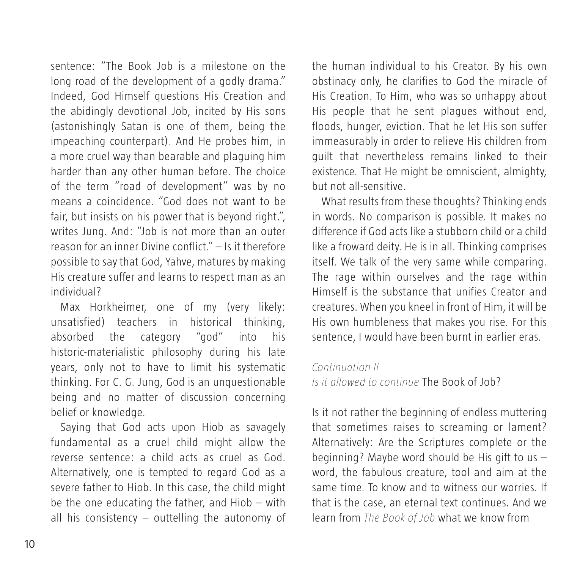sentence: "The Book Job is a milestone on the long road of the development of a godly drama." Indeed, God Himself questions His Creation and the abidingly devotional Job, incited by His sons (astonishingly Satan is one of them, being the impeaching counterpart). And He probes him, in a more cruel way than bearable and plaguing him harder than any other human before. The choice of the term "road of development" was by no means a coincidence. "God does not want to be fair, but insists on his power that is beyond right.". writes Jung. And: "Job is not more than an outer reason for an inner Divine conflict." – Is it therefore possible to say that God, Yahve, matures by making His creature suffer and learns to respect man as an individual?

Max Horkheimer, one of my (very likely: unsatisfied) teachers in historical thinking, absorbed the category "god" into his historic-materialistic philosophy during his late years, only not to have to limit his systematic thinking. For C. G. Jung, God is an unquestionable being and no matter of discussion concerning belief or knowledge.

Saying that God acts upon Hiob as savagely fundamental as a cruel child might allow the reverse sentence: a child acts as cruel as God. Alternatively, one is tempted to regard God as a severe father to Hiob. In this case, the child might be the one educating the father, and Hiob – with all his consistency – outtelling the autonomy of the human individual to his Creator. By his own obstinacy only, he clarifies to God the miracle of His Creation. To Him, who was so unhappy about His people that he sent plagues without end, floods, hunger, eviction. That he let His son suffer immeasurably in order to relieve His children from guilt that nevertheless remains linked to their existence. That He might be omniscient, almighty, but not all-sensitive.

What results from these thoughts? Thinking ends in words. No comparison is possible. It makes no difference if God acts like a stubborn child or a child like a froward deity. He is in all. Thinking comprises itself. We talk of the very same while comparing. The rage within ourselves and the rage within Himself is the substance that unifies Creator and creatures. When you kneel in front of Him, it will be His own humbleness that makes you rise. For this sentence, I would have been burnt in earlier eras.

#### *Continuation II*

*Is it allowed to continue* The Book of Job?

Is it not rather the beginning of endless muttering that sometimes raises to screaming or lament? Alternatively: Are the Scriptures complete or the beginning? Maybe word should be His gift to us – word, the fabulous creature, tool and aim at the same time. To know and to witness our worries. If that is the case, an eternal text continues. And we learn from *The Book of Job* what we know from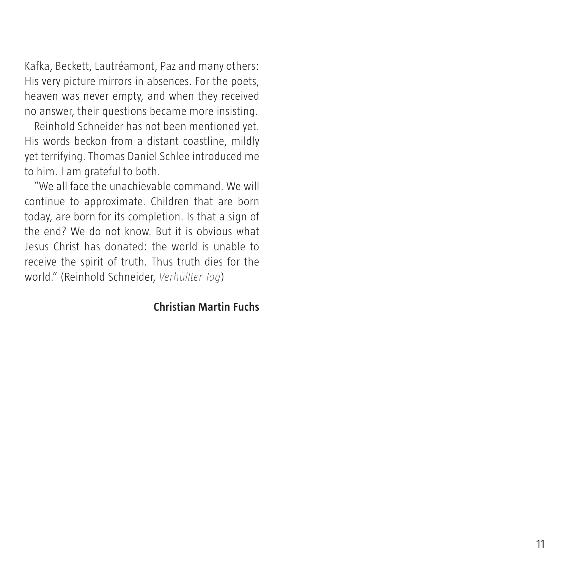Kafka, Beckett, Lautréamont, Paz and many others: His very picture mirrors in absences. For the poets, heaven was never empty, and when they received no answer, their questions became more insisting.

Reinhold Schneider has not been mentioned yet. His words beckon from a distant coastline, mildly yet terrifying. Thomas Daniel Schlee introduced me to him. I am grateful to both.

"We all face the unachievable command. We will continue to approximate. Children that are born today, are born for its completion. Is that a sign of the end? We do not know. But it is obvious what Jesus Christ has donated: the world is unable to receive the spirit of truth. Thus truth dies for the world." (Reinhold Schneider, *Verhüllter Tag*)

## **Christian Martin Fuchs**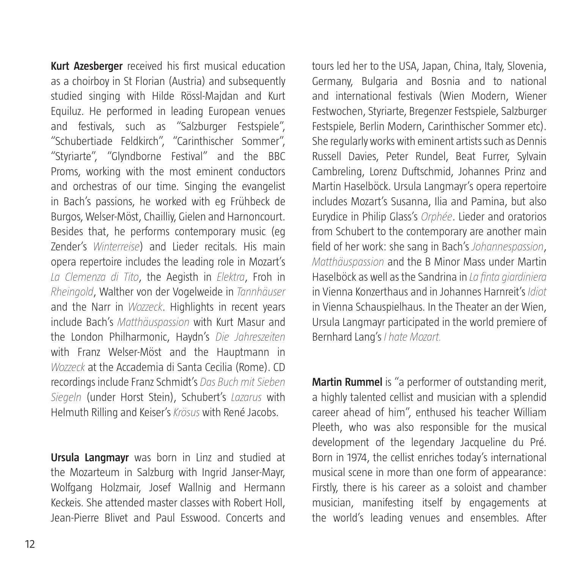**Kurt Azesberger** received his first musical education as a choirboy in St Florian (Austria) and subsequently studied singing with Hilde Rössl-Majdan and Kurt Equiluz. He performed in leading European venues and festivals, such as "Salzburger Festspiele", "Schubertiade Feldkirch", "Carinthischer Sommer", "Styriarte", "Glyndborne Festival" and the BBC Proms, working with the most eminent conductors and orchestras of our time. Singing the evangelist in Bach's passions, he worked with eg Frühbeck de Burgos, Welser-Möst, Chailliy, Gielen and Harnoncourt. Besides that, he performs contemporary music (eg Zender's *Winterreise*) and Lieder recitals. His main opera repertoire includes the leading role in Mozart's *La Clemenza di Tito*, the Aegisth in *Elektra*, Froh in *Rheingold*, Walther von der Vogelweide in *Tannhäuser* and the Narr in *Wozzeck*. Highlights in recent years include Bach's *Matthäuspassion* with Kurt Masur and the London Philharmonic, Haydn's *Die Jahreszeiten* with Franz Welser-Möst and the Hauptmann in *Wozzeck* at the Accademia di Santa Cecilia (Rome). CD recordings include Franz Schmidt's *Das Buch mit Sieben Siegeln* (under Horst Stein), Schubert's *Lazarus* with Helmuth Rilling and Keiser's *Krösus* with René Jacobs.

**Ursula Langmayr** was born in Linz and studied at the Mozarteum in Salzburg with Ingrid Janser-Mayr, Wolfgang Holzmair, Josef Wallnig and Hermann Keckeis. She attended master classes with Robert Holl, Jean-Pierre Blivet and Paul Esswood. Concerts and

tours led her to the USA, Japan, China, Italy, Slovenia, Germany, Bulgaria and Bosnia and to national and international festivals (Wien Modern, Wiener Festwochen, Styriarte, Bregenzer Festspiele, Salzburger Festspiele, Berlin Modern, Carinthischer Sommer etc). She regularly works with eminent artists such as Dennis Russell Davies, Peter Rundel, Beat Furrer, Sylvain Cambreling, Lorenz Duftschmid, Johannes Prinz and Martin Haselböck. Ursula Langmayr's opera repertoire includes Mozart's Susanna, Ilia and Pamina, but also Eurydice in Philip Glass's *Orphée*. Lieder and oratorios from Schubert to the contemporary are another main field of her work: she sang in Bach's *Johannespassion*, *Matthäuspassion* and the B Minor Mass under Martin Haselböck as well as the Sandrina in *La finta giardiniera* in Vienna Konzerthaus and in Johannes Harnreit's *Idiot* in Vienna Schauspielhaus. In the Theater an der Wien, Ursula Langmayr participated in the world premiere of Bernhard Lang's *I hate Mozart.*

**Martin Rummel** is "a performer of outstanding merit, a highly talented cellist and musician with a splendid career ahead of him", enthused his teacher William Pleeth, who was also responsible for the musical development of the legendary Jacqueline du Pré. Born in 1974, the cellist enriches today's international musical scene in more than one form of appearance: Firstly, there is his career as a soloist and chamber musician, manifesting itself by engagements at the world's leading venues and ensembles. After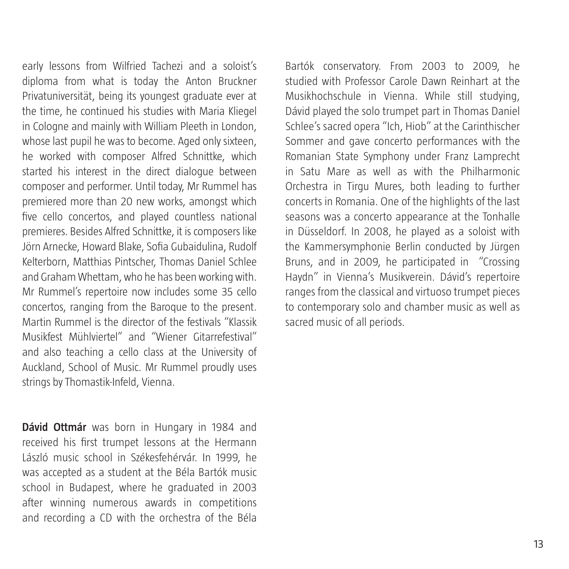early lessons from Wilfried Tachezi and a soloist's diploma from what is today the Anton Bruckner Privatuniversität, being its youngest graduate ever at the time, he continued his studies with Maria Kliegel in Cologne and mainly with William Pleeth in London, whose last pupil he was to become. Aged only sixteen, he worked with composer Alfred Schnittke, which started his interest in the direct dialogue between composer and performer. Until today, Mr Rummel has premiered more than 20 new works, amongst which five cello concertos, and played countless national premieres. Besides Alfred Schnittke, it is composers like Jörn Arnecke, Howard Blake, Sofia Gubaidulina, Rudolf Kelterborn, Matthias Pintscher, Thomas Daniel Schlee and Graham Whettam, who he has been working with. Mr Rummel's repertoire now includes some 35 cello concertos, ranging from the Baroque to the present. Martin Rummel is the director of the festivals "Klassik Musikfest Mühlviertel" and "Wiener Gitarrefestival" and also teaching a cello class at the University of Auckland, School of Music. Mr Rummel proudly uses strings by Thomastik-Infeld, Vienna.

**Dávid Ottmár** was born in Hungary in 1984 and received his first trumpet lessons at the Hermann László music school in Székesfehérvár. In 1999, he was accepted as a student at the Béla Bartók music school in Budapest, where he graduated in 2003 after winning numerous awards in competitions and recording a CD with the orchestra of the Béla Bartók conservatory. From 2003 to 2009, he studied with Professor Carole Dawn Reinhart at the Musikhochschule in Vienna. While still studying, Dávid played the solo trumpet part in Thomas Daniel Schlee's sacred opera "Ich, Hiob" at the Carinthischer Sommer and gave concerto performances with the Romanian State Symphony under Franz Lamprecht in Satu Mare as well as with the Philharmonic Orchestra in Tirgu Mures, both leading to further concerts in Romania. One of the highlights of the last seasons was a concerto appearance at the Tonhalle in Düsseldorf. In 2008, he played as a soloist with the Kammersymphonie Berlin conducted by Jürgen Bruns, and in 2009, he participated in "Crossing Haydn" in Vienna's Musikverein. Dávid's repertoire ranges from the classical and virtuoso trumpet pieces to contemporary solo and chamber music as well as sacred music of all periods.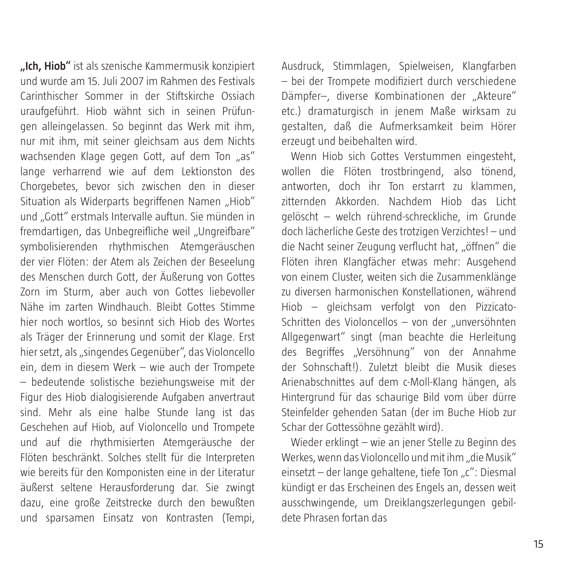**"Ich, Hiob"** ist als szenische Kammermusik konzipiert und wurde am 15. Juli 2007 im Rahmen des Festivals Carinthischer Sommer in der Stiftskirche Ossiach uraufgeführt. Hiob wähnt sich in seinen Prüfungen alleingelassen. So beginnt das Werk mit ihm, nur mit ihm, mit seiner gleichsam aus dem Nichts wachsenden Klage gegen Gott, auf dem Ton "as" lange verharrend wie auf dem Lektionston des Chorgebetes, bevor sich zwischen den in dieser Situation als Widerparts begriffenen Namen "Hiob" und "Gott" erstmals Intervalle auftun. Sie münden in fremdartigen, das Unbegreifliche weil "Ungreifbare" symbolisierenden rhythmischen Atemgeräuschen der vier Flöten: der Atem als Zeichen der Beseelung des Menschen durch Gott, der Äußerung von Gottes Zorn im Sturm, aber auch von Gottes liebevoller Nähe im zarten Windhauch. Bleibt Gottes Stimme hier noch wortlos, so besinnt sich Hiob des Wortes als Träger der Erinnerung und somit der Klage. Erst hier setzt, als "singendes Gegenüber", das Violoncello ein, dem in diesem Werk – wie auch der Trompete – bedeutende solistische beziehungsweise mit der Figur des Hiob dialogisierende Aufgaben anvertraut sind. Mehr als eine halbe Stunde lang ist das Geschehen auf Hiob, auf Violoncello und Trompete und auf die rhythmisierten Atemgeräusche der Flöten beschränkt. Solches stellt für die Interpreten wie bereits für den Komponisten eine in der Literatur äußerst seltene Herausforderung dar. Sie zwingt dazu, eine große Zeitstrecke durch den bewußten und sparsamen Einsatz von Kontrasten (Tempi, Ausdruck, Stimmlagen, Spielweisen, Klangfarben – bei der Trompete modifiziert durch verschiedene Dämpfer-, diverse Kombinationen der "Akteure" etc.) dramaturgisch in jenem Maße wirksam zu gestalten, daß die Aufmerksamkeit beim Hörer erzeugt und beibehalten wird.

Wenn Hiob sich Gottes Verstummen eingesteht, wollen die Flöten trostbringend, also tönend, antworten, doch ihr Ton erstarrt zu klammen, zitternden Akkorden. Nachdem Hiob das Licht gelöscht – welch rührend-schreckliche, im Grunde doch lächerliche Geste des trotzigen Verzichtes! – und die Nacht seiner Zeugung verflucht hat, "öffnen" die Flöten ihren Klangfächer etwas mehr: Ausgehend von einem Cluster, weiten sich die Zusammenklänge zu diversen harmonischen Konstellationen, während Hiob – gleichsam verfolgt von den Pizzicato-Schritten des Violoncellos – von der "unversöhnten Allgegenwart" singt (man beachte die Herleitung des Begriffes "Versöhnung" von der Annahme der Sohnschaft!). Zuletzt bleibt die Musik dieses Arienabschnittes auf dem c-Moll-Klang hängen, als Hintergrund für das schaurige Bild vom über dürre Steinfelder gehenden Satan (der im Buche Hiob zur Schar der Gottessöhne gezählt wird).

Wieder erklingt – wie an jener Stelle zu Beginn des Werkes, wenn das Violoncello und mit ihm "die Musik" einsetzt – der lange gehaltene, tiefe Ton "c": Diesmal kündigt er das Erscheinen des Engels an, dessen weit ausschwingende, um Dreiklangszerlegungen gebildete Phrasen fortan das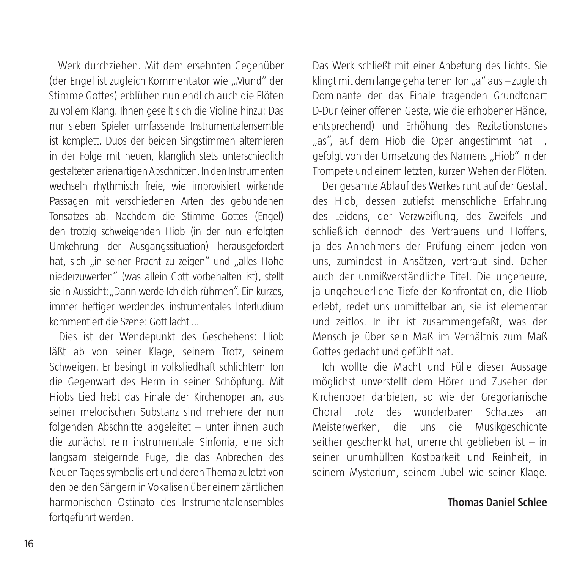zu vollem Klang. Ihnen gesellt sich die Violine hinzu: Das nur sieben Spieler umfassende Instrumentalensemble ist komplett. Duos der beiden Singstimmen alternieren in der Folge mit neuen, klanglich stets unterschiedlich gestalteten arienartigen Abschnitten. In den Instrumenten wechseln rhythmisch freie, wie improvisiert wirkende Passagen mit verschiedenen Arten des gebundenen Tonsatzes ab. Nachdem die Stimme Gottes (Engel) den trotzig schweigenden Hiob (in der nun erfolgten Umkehrung der Ausgangssituation) herausgefordert hat, sich "in seiner Pracht zu zeigen" und "alles Hohe niederzuwerfen" (was allein Gott vorbehalten ist), stellt sie in Aussicht: "Dann werde Ich dich rühmen". Ein kurzes, immer heftiger werdendes instrumentales Interludium kommentiert die Szene: Gott lacht … Werk durchziehen. Mit dem ersehnten Gegenüber (der Engel ist zugleich Kommentator wie "Mund" der Stimme Gottes) erblühen nun endlich auch die Flöten

Dies ist der Wendepunkt des Geschehens: Hiob läßt ab von seiner Klage, seinem Trotz, seinem Schweigen. Er besingt in volksliedhaft schlichtem Ton die Gegenwart des Herrn in seiner Schöpfung. Mit Hiobs Lied hebt das Finale der Kirchenoper an, aus seiner melodischen Substanz sind mehrere der nun folgenden Abschnitte abgeleitet – unter ihnen auch die zunächst rein instrumentale Sinfonia, eine sich langsam steigernde Fuge, die das Anbrechen des Neuen Tages symbolisiert und deren Thema zuletzt von den beiden Sängern in Vokalisen über einem zärtlichen harmonischen Ostinato des Instrumentalensembles fortgeführt werden.

Das Werk schließt mit einer Anbetung des Lichts. Sie klingt mit dem lange gehaltenen Ton "a" aus – zugleich Dominante der das Finale tragenden Grundtonart D-Dur (einer offenen Geste, wie die erhobener Hände, entsprechend) und Erhöhung des Rezitationstones ..as", auf dem Hiob die Oper angestimmt hat  $-$ . gefolgt von der Umsetzung des Namens "Hiob" in der Trompete und einem letzten, kurzen Wehen der Flöten.

Der gesamte Ablauf des Werkes ruht auf der Gestalt des Hiob, dessen zutiefst menschliche Erfahrung des Leidens, der Verzweiflung, des Zweifels und schließlich dennoch des Vertrauens und Hoffens, ja des Annehmens der Prüfung einem jeden von uns, zumindest in Ansätzen, vertraut sind. Daher auch der unmißverständliche Titel. Die ungeheure, ja ungeheuerliche Tiefe der Konfrontation, die Hiob erlebt, redet uns unmittelbar an, sie ist elementar und zeitlos. In ihr ist zusammengefaßt, was der Mensch je über sein Maß im Verhältnis zum Maß Gottes gedacht und gefühlt hat.

Ich wollte die Macht und Fülle dieser Aussage möglichst unverstellt dem Hörer und Zuseher der Kirchenoper darbieten, so wie der Gregorianische Choral trotz des wunderbaren Schatzes an Meisterwerken, die uns die Musikgeschichte seither geschenkt hat, unerreicht geblieben ist – in seiner unumhüllten Kostbarkeit und Reinheit, in seinem Mysterium, seinem Jubel wie seiner Klage.

## **Thomas Daniel Schlee**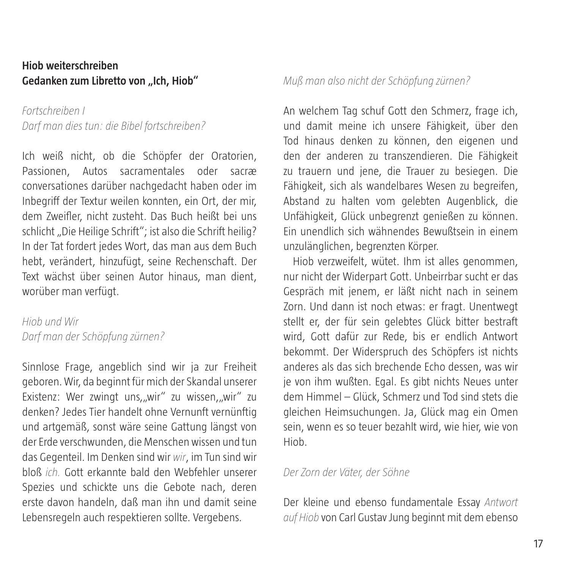# **Hiob weiterschreiben** Gedanken zum Libretto von "Ich, Hiob"

# *Fortschreiben I Darf man dies tun: die Bibel fortschreiben?*

Ich weiß nicht, ob die Schöpfer der Oratorien, Passionen, Autos sacramentales oder sacræ conversationes darüber nachgedacht haben oder im Inbegriff der Textur weilen konnten, ein Ort, der mir, dem Zweifler, nicht zusteht. Das Buch heißt bei uns schlicht "Die Heilige Schrift"; ist also die Schrift heilig? In der Tat fordert jedes Wort, das man aus dem Buch hebt, verändert, hinzufügt, seine Rechenschaft. Der Text wächst über seinen Autor hinaus, man dient, worüber man verfügt.

*Hiob und Wir Darf man der Schöpfung zürnen?*

Sinnlose Frage, angeblich sind wir ja zur Freiheit geboren. Wir, da beginnt für mich der Skandal unserer Existenz: Wer zwingt uns, wir" zu wissen, wir" zu denken? Jedes Tier handelt ohne Vernunft vernünftig und artgemäß, sonst wäre seine Gattung längst von der Erde verschwunden, die Menschen wissen und tun das Gegenteil. Im Denken sind wir *wir*, im Tun sind wir bloß *ich.* Gott erkannte bald den Webfehler unserer Spezies und schickte uns die Gebote nach, deren erste davon handeln, daß man ihn und damit seine Lebensregeln auch respektieren sollte. Vergebens.

*Muß man also nicht der Schöpfung zürnen?*

An welchem Tag schuf Gott den Schmerz, frage ich, und damit meine ich unsere Fähigkeit, über den Tod hinaus denken zu können, den eigenen und den der anderen zu transzendieren. Die Fähigkeit zu trauern und jene, die Trauer zu besiegen. Die Fähigkeit, sich als wandelbares Wesen zu begreifen, Abstand zu halten vom gelebten Augenblick, die Unfähigkeit, Glück unbegrenzt genießen zu können. Ein unendlich sich wähnendes Bewußtsein in einem unzulänglichen, begrenzten Körper.

Hiob verzweifelt, wütet. Ihm ist alles genommen, nur nicht der Widerpart Gott. Unbeirrbar sucht er das Gespräch mit jenem, er läßt nicht nach in seinem Zorn. Und dann ist noch etwas: er fragt. Unentwegt stellt er, der für sein gelebtes Glück bitter bestraft wird, Gott dafür zur Rede, bis er endlich Antwort bekommt. Der Widerspruch des Schöpfers ist nichts anderes als das sich brechende Echo dessen, was wir je von ihm wußten. Egal. Es gibt nichts Neues unter dem Himmel – Glück, Schmerz und Tod sind stets die gleichen Heimsuchungen. Ja, Glück mag ein Omen sein, wenn es so teuer bezahlt wird, wie hier, wie von Hiob.

# *Der Zorn der Väter, der Söhne*

Der kleine und ebenso fundamentale Essay *Antwort auf Hiob* von Carl Gustav Jung beginnt mit dem ebenso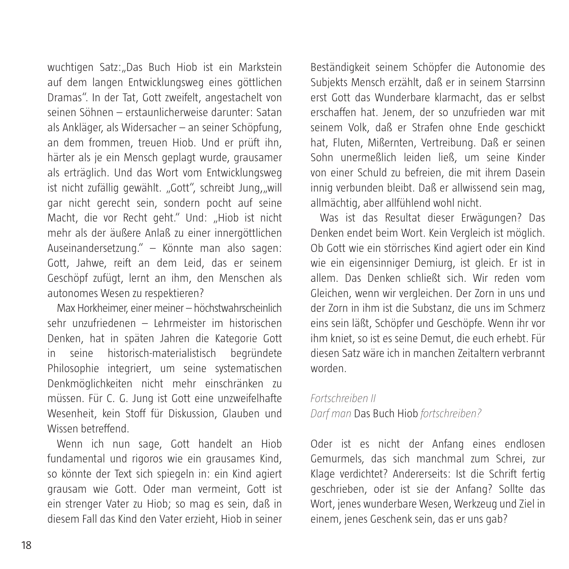wuchtigen Satz: "Das Buch Hiob ist ein Markstein auf dem langen Entwicklungsweg eines göttlichen Dramas". In der Tat, Gott zweifelt, angestachelt von seinen Söhnen – erstaunlicherweise darunter: Satan als Ankläger, als Widersacher – an seiner Schöpfung, an dem frommen, treuen Hiob. Und er prüft ihn, härter als je ein Mensch geplagt wurde, grausamer als erträglich. Und das Wort vom Entwicklungsweg ist nicht zufällig gewählt. "Gott", schreibt Jung, will gar nicht gerecht sein, sondern pocht auf seine Macht, die vor Recht geht." Und: "Hiob ist nicht mehr als der äußere Anlaß zu einer innergöttlichen Auseinandersetzung." – Könnte man also sagen: Gott, Jahwe, reift an dem Leid, das er seinem Geschöpf zufügt, lernt an ihm, den Menschen als autonomes Wesen zu respektieren?

Max Horkheimer, einer meiner – höchstwahrscheinlich sehr unzufriedenen – Lehrmeister im historischen Denken, hat in späten Jahren die Kategorie Gott in seine historisch-materialistisch begründete Philosophie integriert, um seine systematischen Denkmöglichkeiten nicht mehr einschränken zu müssen. Für C. G. Jung ist Gott eine unzweifelhafte Wesenheit, kein Stoff für Diskussion, Glauben und Wissen betreffend.

Wenn ich nun sage, Gott handelt an Hiob fundamental und rigoros wie ein grausames Kind, so könnte der Text sich spiegeln in: ein Kind agiert grausam wie Gott. Oder man vermeint, Gott ist ein strenger Vater zu Hiob; so mag es sein, daß in diesem Fall das Kind den Vater erzieht, Hiob in seiner

Beständigkeit seinem Schöpfer die Autonomie des Subjekts Mensch erzählt, daß er in seinem Starrsinn erst Gott das Wunderbare klarmacht, das er selbst erschaffen hat. Jenem, der so unzufrieden war mit seinem Volk, daß er Strafen ohne Ende geschickt hat, Fluten, Mißernten, Vertreibung. Daß er seinen Sohn unermeßlich leiden ließ, um seine Kinder von einer Schuld zu befreien, die mit ihrem Dasein innig verbunden bleibt. Daß er allwissend sein mag, allmächtig, aber allfühlend wohl nicht.

Was ist das Resultat dieser Erwägungen? Das Denken endet beim Wort. Kein Vergleich ist möglich. Ob Gott wie ein störrisches Kind agiert oder ein Kind wie ein eigensinniger Demiurg, ist gleich. Er ist in allem. Das Denken schließt sich. Wir reden vom Gleichen, wenn wir vergleichen. Der Zorn in uns und der Zorn in ihm ist die Substanz, die uns im Schmerz eins sein läßt, Schöpfer und Geschöpfe. Wenn ihr vor ihm kniet, so ist es seine Demut, die euch erhebt. Für diesen Satz wäre ich in manchen Zeitaltern verbrannt worden.

#### *Fortschreiben II*

*Darf man* Das Buch Hiob *fortschreiben?*

Oder ist es nicht der Anfang eines endlosen Gemurmels, das sich manchmal zum Schrei, zur Klage verdichtet? Andererseits: Ist die Schrift fertig geschrieben, oder ist sie der Anfang? Sollte das Wort, jenes wunderbare Wesen, Werkzeug und Ziel in einem, jenes Geschenk sein, das er uns gab?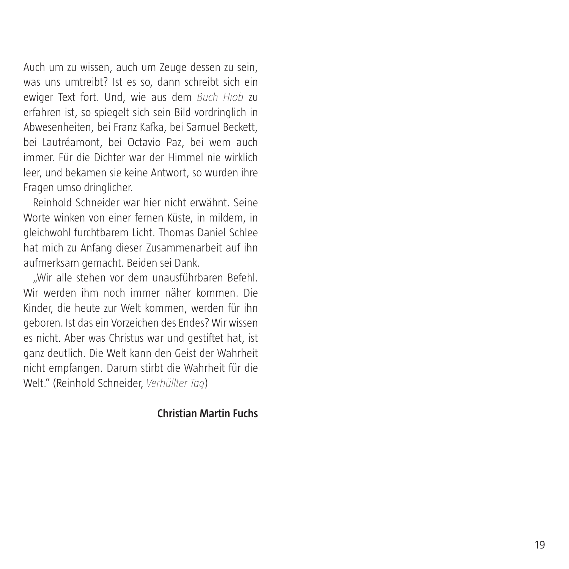Auch um zu wissen, auch um Zeuge dessen zu sein, was uns umtreibt? Ist es so, dann schreibt sich ein ewiger Text fort. Und, wie aus dem *Buch Hiob* zu erfahren ist, so spiegelt sich sein Bild vordringlich in Abwesenheiten, bei Franz Kafka, bei Samuel Beckett, bei Lautréamont, bei Octavio Paz, bei wem auch immer. Für die Dichter war der Himmel nie wirklich leer, und bekamen sie keine Antwort, so wurden ihre Fragen umso dringlicher.

Reinhold Schneider war hier nicht erwähnt. Seine Worte winken von einer fernen Küste, in mildem, in gleichwohl furchtbarem Licht. Thomas Daniel Schlee hat mich zu Anfang dieser Zusammenarbeit auf ihn aufmerksam gemacht. Beiden sei Dank.

"Wir alle stehen vor dem unausführbaren Befehl. Wir werden ihm noch immer näher kommen. Die Kinder, die heute zur Welt kommen, werden für ihn geboren. Ist das ein Vorzeichen des Endes? Wir wissen es nicht. Aber was Christus war und gestiftet hat, ist ganz deutlich. Die Welt kann den Geist der Wahrheit nicht empfangen. Darum stirbt die Wahrheit für die Welt." (Reinhold Schneider, *Verhüllter Tag* )

# **Christian Martin Fuchs**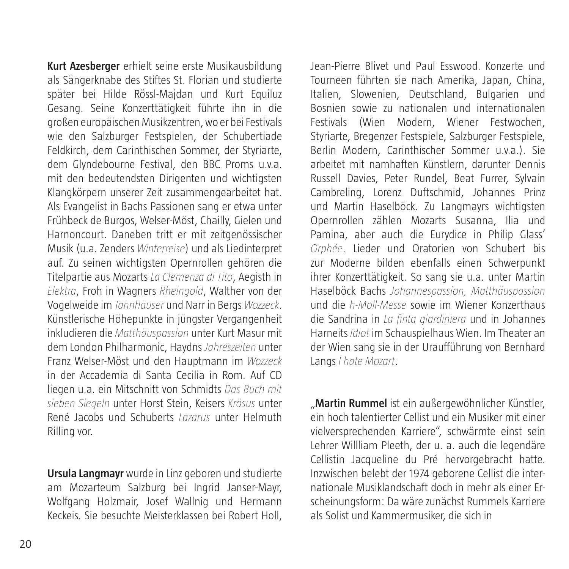**Kurt Azesberger** erhielt seine erste Musikausbildung als Sängerknabe des Stiftes St. Florian und studierte später bei Hilde Rössl-Majdan und Kurt Equiluz Gesang. Seine Konzerttätigkeit führte ihn in die großen europäischen Musikzentren, wo er bei Festivals wie den Salzburger Festspielen, der Schubertiade Feldkirch, dem Carinthischen Sommer, der Styriarte, dem Glyndebourne Festival, den BBC Proms u.v.a. mit den bedeutendsten Dirigenten und wichtigsten Klangkörpern unserer Zeit zusammengearbeitet hat. Als Evangelist in Bachs Passionen sang er etwa unter Frühbeck de Burgos, Welser-Möst, Chailly, Gielen und Harnoncourt. Daneben tritt er mit zeitgenössischer Musik (u.a. Zenders *Winterreise*) und als Liedinterpret auf. Zu seinen wichtigsten Opernrollen gehören die Titelpartie aus Mozarts *La Clemenza di Tito*, Aegisth in *Elektra*, Froh in Wagners *Rheingold*, Walther von der Vogelweide im *Tannhäuser* und Narr in Bergs *Wozzeck*. Künstlerische Höhepunkte in jüngster Vergangenheit inkludieren die *Matthäuspassion* unter Kurt Masur mit dem London Philharmonic, Haydns *Jahreszeiten* unter Franz Welser-Möst und den Hauptmann im *Wozzeck* in der Accademia di Santa Cecilia in Rom. Auf CD liegen u.a. ein Mitschnitt von Schmidts *Das Buch mit sieben Siegeln* unter Horst Stein, Keisers *Krösus* unter René Jacobs und Schuberts *Lazarus* unter Helmuth Rilling vor.

**Ursula Langmayr** wurde in Linz geboren und studierte am Mozarteum Salzburg bei Ingrid Janser-Mayr, Wolfgang Holzmair, Josef Wallnig und Hermann Keckeis. Sie besuchte Meisterklassen bei Robert Holl, Jean-Pierre Blivet und Paul Esswood. Konzerte und Tourneen führten sie nach Amerika, Japan, China, Italien, Slowenien, Deutschland, Bulgarien und Bosnien sowie zu nationalen und internationalen Festivals (Wien Modern, Wiener Festwochen, Styriarte, Bregenzer Festspiele, Salzburger Festspiele, Berlin Modern, Carinthischer Sommer u.v.a.). Sie arbeitet mit namhaften Künstlern, darunter Dennis Russell Davies, Peter Rundel, Beat Furrer, Sylvain Cambreling, Lorenz Duftschmid, Johannes Prinz und Martin Haselböck. Zu Langmayrs wichtigsten Opernrollen zählen Mozarts Susanna, Ilia und Pamina, aber auch die Eurydice in Philip Glass' *Orphée*. Lieder und Oratorien von Schubert bis zur Moderne bilden ebenfalls einen Schwerpunkt ihrer Konzerttätigkeit. So sang sie u.a. unter Martin Haselböck Bachs *Johannespassion, Matthäuspassion* und die *h-Moll-Messe* sowie im Wiener Konzerthaus die Sandrina in *La finta giardiniera* und in Johannes Harneits *Idiot* im Schauspielhaus Wien. Im Theater an der Wien sang sie in der Uraufführung von Bernhard Langs *I hate Mozart*.

"**Martin Rummel** ist ein außergewöhnlicher Künstler, ein hoch talentierter Cellist und ein Musiker mit einer vielversprechenden Karriere", schwärmte einst sein Lehrer Willliam Pleeth, der u. a. auch die legendäre Cellistin Jacqueline du Pré hervorgebracht hatte. Inzwischen belebt der 1974 geborene Cellist die internationale Musiklandschaft doch in mehr als einer Erscheinungsform: Da wäre zunächst Rummels Karriere als Solist und Kammermusiker, die sich in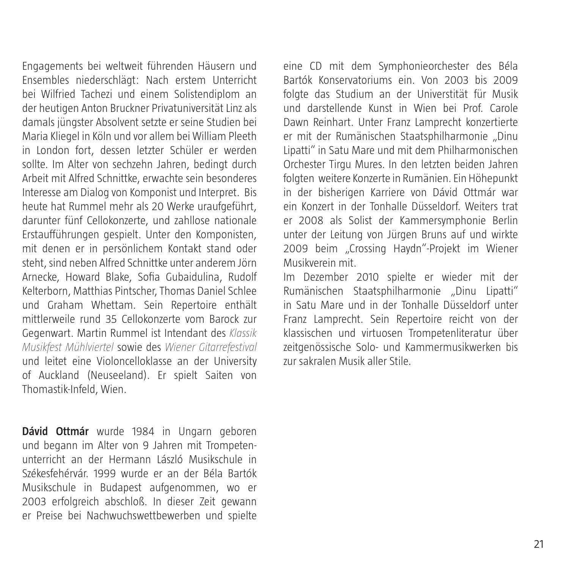Engagements bei weltweit führenden Häusern und Ensembles niederschlägt: Nach erstem Unterricht bei Wilfried Tachezi und einem Solistendiplom an der heutigen Anton Bruckner Privatuniversität Linz als damals jüngster Absolvent setzte er seine Studien bei Maria Kliegel in Köln und vor allem bei William Pleeth in London fort, dessen letzter Schüler er werden sollte. Im Alter von sechzehn Jahren, bedingt durch Arbeit mit Alfred Schnittke, erwachte sein besonderes Interesse am Dialog von Komponist und Interpret. Bis heute hat Rummel mehr als 20 Werke uraufgeführt, darunter fünf Cellokonzerte, und zahllose nationale Erstaufführungen gespielt. Unter den Komponisten, mit denen er in persönlichem Kontakt stand oder steht, sind neben Alfred Schnittke unter anderem Jörn Arnecke, Howard Blake, Sofia Gubaidulina, Rudolf Kelterborn, Matthias Pintscher, Thomas Daniel Schlee und Graham Whettam. Sein Repertoire enthält mittlerweile rund 35 Cellokonzerte vom Barock zur Gegenwart. Martin Rummel ist Intendant des *Klassik Musikfest Mühlviertel* sowie des *Wiener Gitarrefestival* und leitet eine Violoncelloklasse an der University of Auckland (Neuseeland). Er spielt Saiten von Thomastik-Infeld, Wien.

**Dávid Ottmár** wurde 1984 in Ungarn geboren und begann im Alter von 9 Jahren mit Trompetenunterricht an der Hermann László Musikschule in Székesfehérvár. 1999 wurde er an der Béla Bartók Musikschule in Budapest aufgenommen, wo er 2003 erfolgreich abschloß. In dieser Zeit gewann er Preise bei Nachwuchswettbewerben und spielte eine CD mit dem Symphonieorchester des Béla Bartók Konservatoriums ein. Von 2003 bis 2009 folgte das Studium an der Universtität für Musik und darstellende Kunst in Wien bei Prof. Carole Dawn Reinhart. Unter Franz Lamprecht konzertierte er mit der Rumänischen Staatsphilharmonie "Dinu Lipatti" in Satu Mare und mit dem Philharmonischen Orchester Tirgu Mures. In den letzten beiden Jahren folgten weitere Konzerte in Rumänien. Ein Höhepunkt in der bisherigen Karriere von Dávid Ottmár war ein Konzert in der Tonhalle Düsseldorf. Weiters trat er 2008 als Solist der Kammersymphonie Berlin unter der Leitung von Jürgen Bruns auf und wirkte 2009 beim "Crossing Haydn"-Projekt im Wiener Musikverein mit.

Im Dezember 2010 spielte er wieder mit der Rumänischen Staatsphilharmonie "Dinu Lipatti" in Satu Mare und in der Tonhalle Düsseldorf unter Franz Lamprecht. Sein Repertoire reicht von der klassischen und virtuosen Trompetenliteratur über zeitgenössische Solo- und Kammermusikwerken bis zur sakralen Musik aller Stile.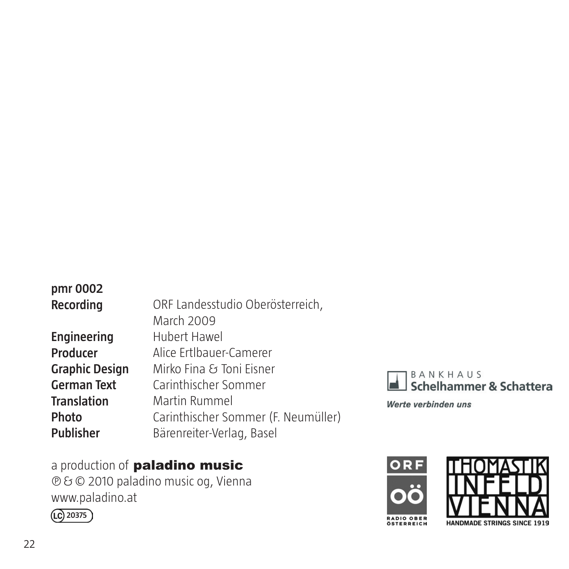| pmr 0002              |                                     |
|-----------------------|-------------------------------------|
| Recording             | ORF Landesstudio Oberösterreich,    |
|                       | March 2009                          |
| Engineering           | Hubert Hawel                        |
| Producer              | Alice Ertlbauer-Camerer             |
| <b>Graphic Design</b> | Mirko Fina & Toni Fisner            |
| <b>German Text</b>    | Carinthischer Sommer                |
| <b>Translation</b>    | Martin Rummel                       |
| Photo                 | Carinthischer Sommer (F. Neumüller) |
| <b>Publisher</b>      | Bärenreiter-Verlag, Basel           |





Werte verbinden uns





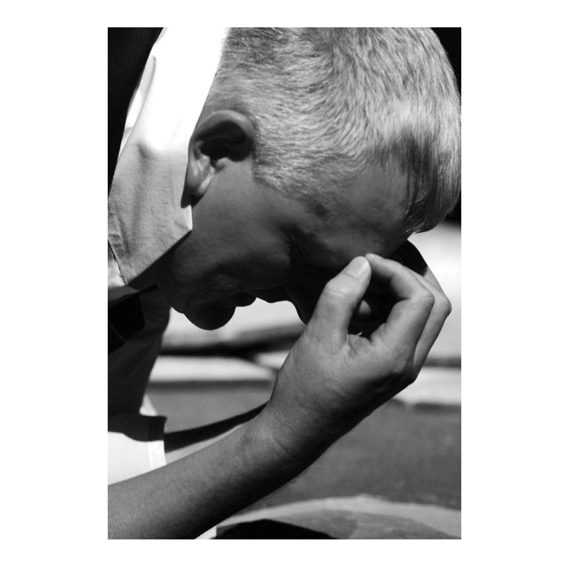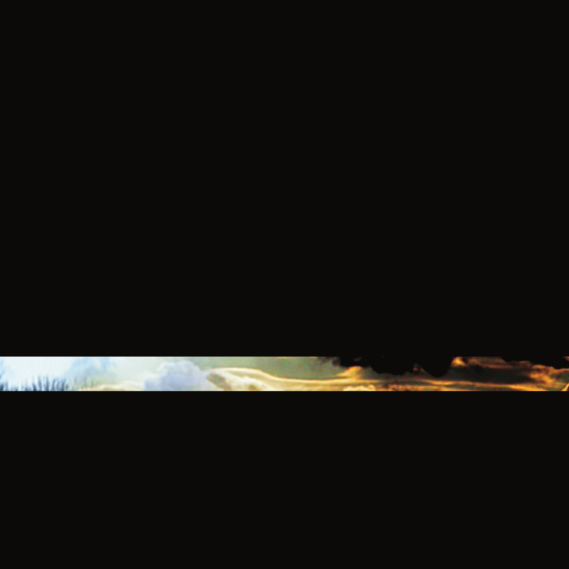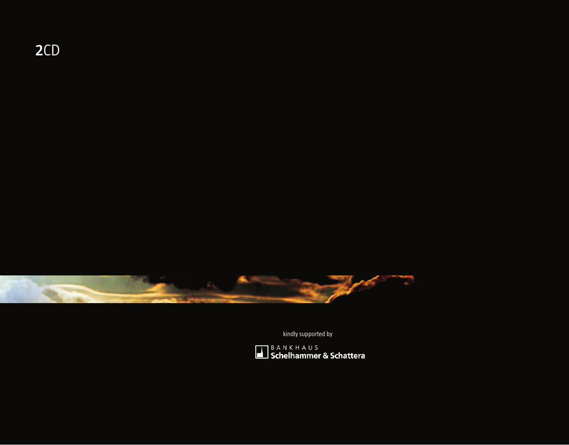